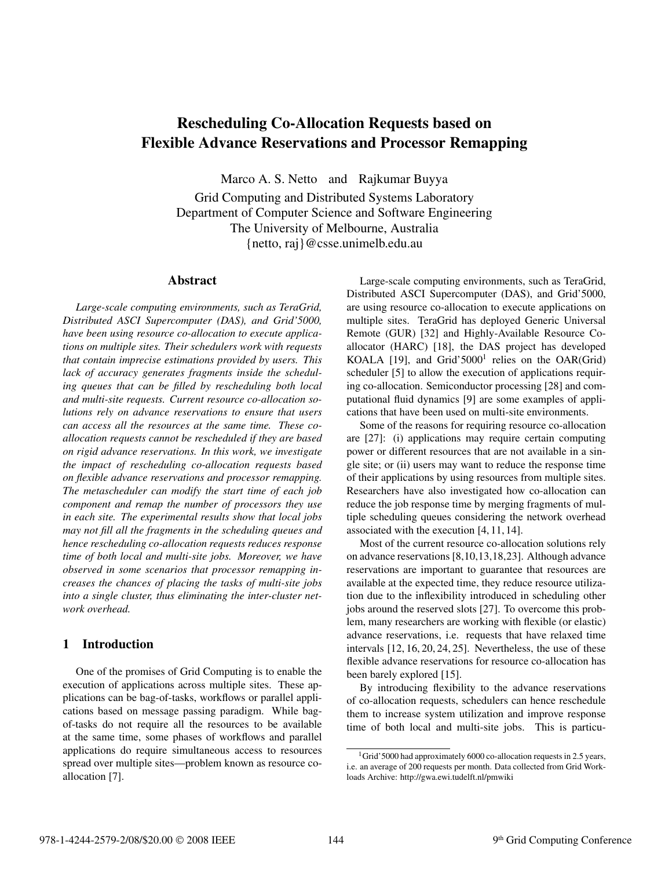# **Rescheduling Co-Allocation Requests based on Flexible Advance Reservations and Processor Remapping**

Marco A. S. Netto and Rajkumar Buyya

Grid Computing and Distributed Systems Laboratory Department of Computer Science and Software Engineering The University of Melbourne, Australia {netto, raj}@csse.unimelb.edu.au

#### **Abstract**

*Large-scale computing environments, such as TeraGrid, Distributed ASCI Supercomputer (DAS), and Grid'5000, have been using resource co-allocation to execute applications on multiple sites. Their schedulers work with requests that contain imprecise estimations provided by users. This lack of accuracy generates fragments inside the scheduling queues that can be filled by rescheduling both local and multi-site requests. Current resource co-allocation solutions rely on advance reservations to ensure that users can access all the resources at the same time. These coallocation requests cannot be rescheduled if they are based on rigid advance reservations. In this work, we investigate the impact of rescheduling co-allocation requests based on flexible advance reservations and processor remapping. The metascheduler can modify the start time of each job component and remap the number of processors they use in each site. The experimental results show that local jobs may not fill all the fragments in the scheduling queues and hence rescheduling co-allocation requests reduces response time of both local and multi-site jobs. Moreover, we have observed in some scenarios that processor remapping increases the chances of placing the tasks of multi-site jobs into a single cluster, thus eliminating the inter-cluster network overhead.*

# **1 Introduction**

One of the promises of Grid Computing is to enable the execution of applications across multiple sites. These applications can be bag-of-tasks, workflows or parallel applications based on message passing paradigm. While bagof-tasks do not require all the resources to be available at the same time, some phases of workflows and parallel applications do require simultaneous access to resources spread over multiple sites—problem known as resource coallocation [7].

Large-scale computing environments, such as TeraGrid, Distributed ASCI Supercomputer (DAS), and Grid'5000, are using resource co-allocation to execute applications on multiple sites. TeraGrid has deployed Generic Universal Remote (GUR) [32] and Highly-Available Resource Coallocator (HARC) [18], the DAS project has developed KOALA [19], and Grid' $5000<sup>1</sup>$  relies on the OAR(Grid) scheduler [5] to allow the execution of applications requiring co-allocation. Semiconductor processing [28] and computational fluid dynamics [9] are some examples of applications that have been used on multi-site environments.

Some of the reasons for requiring resource co-allocation are [27]: (i) applications may require certain computing power or different resources that are not available in a single site; or (ii) users may want to reduce the response time of their applications by using resources from multiple sites. Researchers have also investigated how co-allocation can reduce the job response time by merging fragments of multiple scheduling queues considering the network overhead associated with the execution [4, 11, 14].

Most of the current resource co-allocation solutions rely on advance reservations [8,10,13,18,23]. Although advance reservations are important to guarantee that resources are available at the expected time, they reduce resource utilization due to the inflexibility introduced in scheduling other jobs around the reserved slots [27]. To overcome this problem, many researchers are working with flexible (or elastic) advance reservations, i.e. requests that have relaxed time intervals [12, 16, 20, 24, 25]. Nevertheless, the use of these flexible advance reservations for resource co-allocation has been barely explored [15].

By introducing flexibility to the advance reservations of co-allocation requests, schedulers can hence reschedule them to increase system utilization and improve response time of both local and multi-site jobs. This is particu-

<sup>&</sup>lt;sup>1</sup>Grid'5000 had approximately 6000 co-allocation requests in 2.5 years, i.e. an average of 200 requests per month. Data collected from Grid Workloads Archive: http://gwa.ewi.tudelft.nl/pmwiki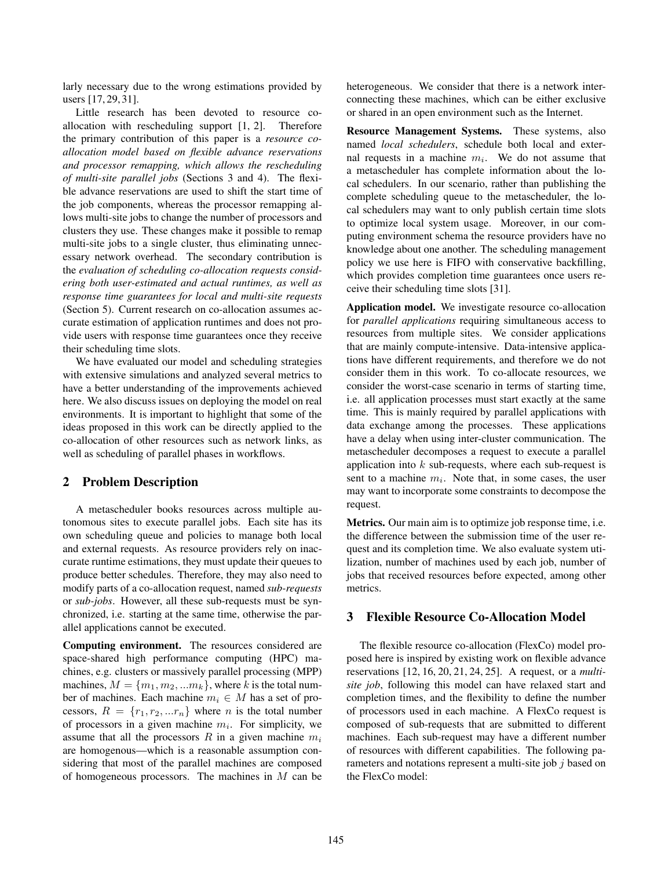larly necessary due to the wrong estimations provided by users [17, 29, 31].

Little research has been devoted to resource coallocation with rescheduling support [1, 2]. Therefore the primary contribution of this paper is a *resource coallocation model based on flexible advance reservations and processor remapping, which allows the rescheduling of multi-site parallel jobs* (Sections 3 and 4). The flexible advance reservations are used to shift the start time of the job components, whereas the processor remapping allows multi-site jobs to change the number of processors and clusters they use. These changes make it possible to remap multi-site jobs to a single cluster, thus eliminating unnecessary network overhead. The secondary contribution is the *evaluation of scheduling co-allocation requests considering both user-estimated and actual runtimes, as well as response time guarantees for local and multi-site requests* (Section 5). Current research on co-allocation assumes accurate estimation of application runtimes and does not provide users with response time guarantees once they receive their scheduling time slots.

We have evaluated our model and scheduling strategies with extensive simulations and analyzed several metrics to have a better understanding of the improvements achieved here. We also discuss issues on deploying the model on real environments. It is important to highlight that some of the ideas proposed in this work can be directly applied to the co-allocation of other resources such as network links, as well as scheduling of parallel phases in workflows.

## **2 Problem Description**

A metascheduler books resources across multiple autonomous sites to execute parallel jobs. Each site has its own scheduling queue and policies to manage both local and external requests. As resource providers rely on inaccurate runtime estimations, they must update their queues to produce better schedules. Therefore, they may also need to modify parts of a co-allocation request, named *sub-requests* or *sub-jobs*. However, all these sub-requests must be synchronized, i.e. starting at the same time, otherwise the parallel applications cannot be executed.

**Computing environment.** The resources considered are space-shared high performance computing (HPC) machines, e.g. clusters or massively parallel processing (MPP) machines,  $M = \{m_1, m_2, ... m_k\}$ , where k is the total number of machines. Each machine  $m_i \in M$  has a set of processors,  $R = \{r_1, r_2, ... r_n\}$  where *n* is the total number of processors in a given machine  $m_i$ . For simplicity, we assume that all the processors  $R$  in a given machine  $m_i$ are homogenous—which is a reasonable assumption considering that most of the parallel machines are composed of homogeneous processors. The machines in  $M$  can be heterogeneous. We consider that there is a network interconnecting these machines, which can be either exclusive or shared in an open environment such as the Internet.

**Resource Management Systems.** These systems, also named *local schedulers*, schedule both local and external requests in a machine  $m_i$ . We do not assume that a metascheduler has complete information about the local schedulers. In our scenario, rather than publishing the complete scheduling queue to the metascheduler, the local schedulers may want to only publish certain time slots to optimize local system usage. Moreover, in our computing environment schema the resource providers have no knowledge about one another. The scheduling management policy we use here is FIFO with conservative backfilling, which provides completion time guarantees once users receive their scheduling time slots [31].

**Application model.** We investigate resource co-allocation for *parallel applications* requiring simultaneous access to resources from multiple sites. We consider applications that are mainly compute-intensive. Data-intensive applications have different requirements, and therefore we do not consider them in this work. To co-allocate resources, we consider the worst-case scenario in terms of starting time, i.e. all application processes must start exactly at the same time. This is mainly required by parallel applications with data exchange among the processes. These applications have a delay when using inter-cluster communication. The metascheduler decomposes a request to execute a parallel application into  $k$  sub-requests, where each sub-request is sent to a machine  $m_i$ . Note that, in some cases, the user may want to incorporate some constraints to decompose the request.

**Metrics.** Our main aim is to optimize job response time, i.e. the difference between the submission time of the user request and its completion time. We also evaluate system utilization, number of machines used by each job, number of jobs that received resources before expected, among other metrics.

#### **3 Flexible Resource Co-Allocation Model**

The flexible resource co-allocation (FlexCo) model proposed here is inspired by existing work on flexible advance reservations [12, 16, 20, 21, 24, 25]. A request, or a *multisite job*, following this model can have relaxed start and completion times, and the flexibility to define the number of processors used in each machine. A FlexCo request is composed of sub-requests that are submitted to different machines. Each sub-request may have a different number of resources with different capabilities. The following parameters and notations represent a multi-site job  $j$  based on the FlexCo model: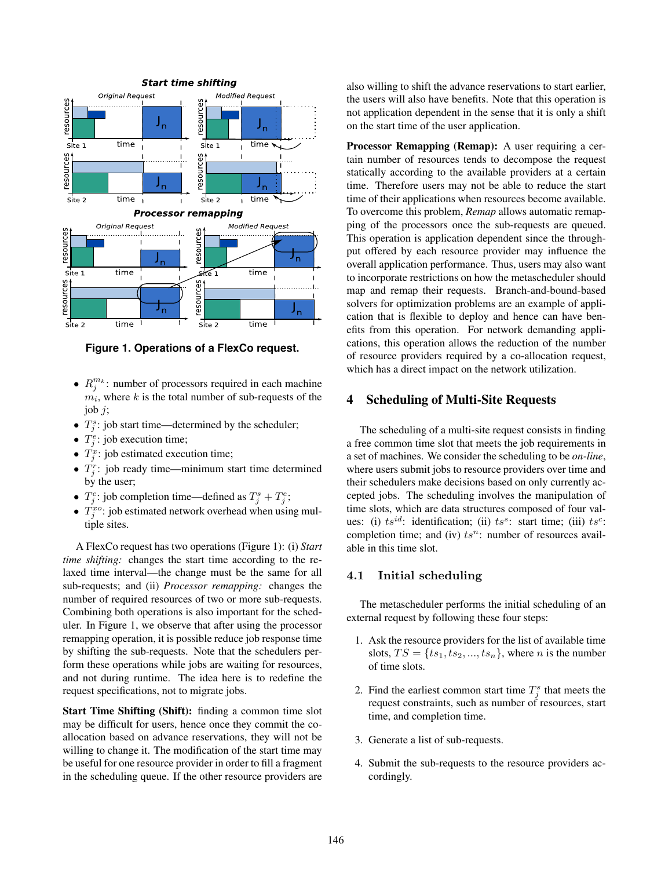

**Figure 1. Operations of a FlexCo request.**

- $R_j^{m_k}$ : number of processors required in each machine  $m_i$ , where k is the total number of sub-requests of the job  $j$ ;
- $T_j^s$ : job start time—determined by the scheduler;
- $T_j^e$ : job execution time;
- $T_j^x$ : job estimated execution time;
- $T_j^r$ : job ready time—minimum start time determined by the user;
- $T_j^c$ : job completion time—defined as  $T_j^s + T_j^e$ ;
- $T_j^{xo}$ : job estimated network overhead when using multiple sites.

A FlexCo request has two operations (Figure 1): (i) *Start time shifting:* changes the start time according to the relaxed time interval—the change must be the same for all sub-requests; and (ii) *Processor remapping:* changes the number of required resources of two or more sub-requests. Combining both operations is also important for the scheduler. In Figure 1, we observe that after using the processor remapping operation, it is possible reduce job response time by shifting the sub-requests. Note that the schedulers perform these operations while jobs are waiting for resources, and not during runtime. The idea here is to redefine the request specifications, not to migrate jobs.

**Start Time Shifting (Shift):** finding a common time slot may be difficult for users, hence once they commit the coallocation based on advance reservations, they will not be willing to change it. The modification of the start time may be useful for one resource provider in order to fill a fragment in the scheduling queue. If the other resource providers are also willing to shift the advance reservations to start earlier, the users will also have benefits. Note that this operation is not application dependent in the sense that it is only a shift on the start time of the user application.

**Processor Remapping (Remap):** A user requiring a certain number of resources tends to decompose the request statically according to the available providers at a certain time. Therefore users may not be able to reduce the start time of their applications when resources become available. To overcome this problem, *Remap* allows automatic remapping of the processors once the sub-requests are queued. This operation is application dependent since the throughput offered by each resource provider may influence the overall application performance. Thus, users may also want to incorporate restrictions on how the metascheduler should map and remap their requests. Branch-and-bound-based solvers for optimization problems are an example of application that is flexible to deploy and hence can have benefits from this operation. For network demanding applications, this operation allows the reduction of the number of resource providers required by a co-allocation request, which has a direct impact on the network utilization.

# **4 Scheduling of Multi-Site Requests**

The scheduling of a multi-site request consists in finding a free common time slot that meets the job requirements in a set of machines. We consider the scheduling to be *on-line*, where users submit jobs to resource providers over time and their schedulers make decisions based on only currently accepted jobs. The scheduling involves the manipulation of time slots, which are data structures composed of four values: (i)  $ts^{id}$ : identification; (ii)  $ts^s$ : start time; (iii)  $ts^c$ : completion time; and (iv)  $ts^n$ : number of resources available in this time slot.

# 4.1 Initial scheduling

The metascheduler performs the initial scheduling of an external request by following these four steps:

- 1. Ask the resource providers for the list of available time slots,  $TS = \{ts_1, ts_2, ..., ts_n\}$ , where *n* is the number of time slots.
- 2. Find the earliest common start time  $T_j^s$  that meets the request constraints, such as number of resources, start time, and completion time.
- 3. Generate a list of sub-requests.
- 4. Submit the sub-requests to the resource providers accordingly.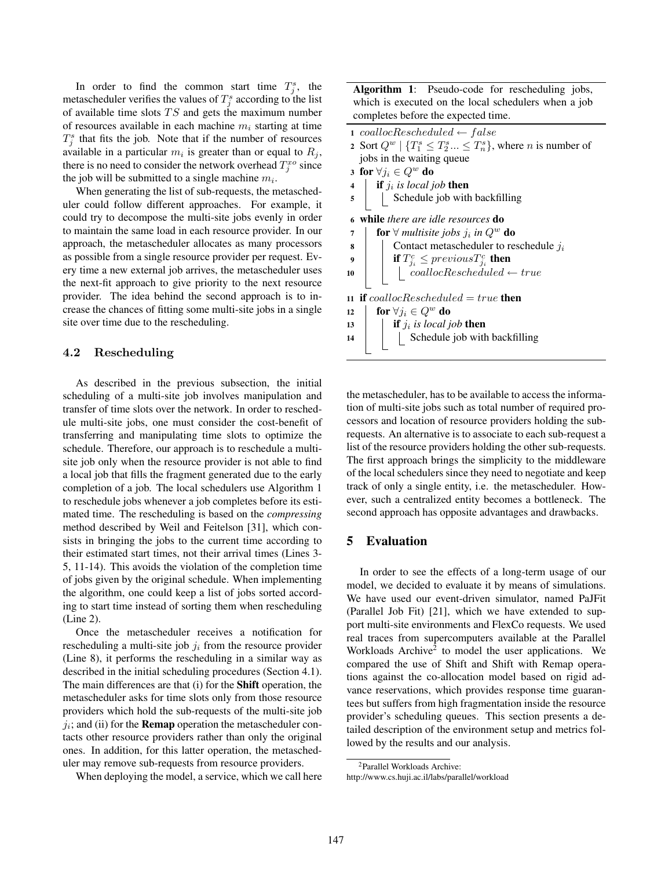In order to find the common start time  $T_j^s$ , the metascheduler verifies the values of  $T_j^s$  according to the list of available time slots  $TS$  and gets the maximum number of resources available in each machine  $m_i$  starting at time  $T_j^s$  that fits the job. Note that if the number of resources available in a particular  $m_i$  is greater than or equal to  $R_j$ , there is no need to consider the network overhead  $T_j^{xo}$  since the job will be submitted to a single machine  $m_i$ .

When generating the list of sub-requests, the metascheduler could follow different approaches. For example, it could try to decompose the multi-site jobs evenly in order to maintain the same load in each resource provider. In our approach, the metascheduler allocates as many processors as possible from a single resource provider per request. Every time a new external job arrives, the metascheduler uses the next-fit approach to give priority to the next resource provider. The idea behind the second approach is to increase the chances of fitting some multi-site jobs in a single site over time due to the rescheduling.

#### 4.2 Rescheduling

As described in the previous subsection, the initial scheduling of a multi-site job involves manipulation and transfer of time slots over the network. In order to reschedule multi-site jobs, one must consider the cost-benefit of transferring and manipulating time slots to optimize the schedule. Therefore, our approach is to reschedule a multisite job only when the resource provider is not able to find a local job that fills the fragment generated due to the early completion of a job. The local schedulers use Algorithm 1 to reschedule jobs whenever a job completes before its estimated time. The rescheduling is based on the *compressing* method described by Weil and Feitelson [31], which consists in bringing the jobs to the current time according to their estimated start times, not their arrival times (Lines 3- 5, 11-14). This avoids the violation of the completion time of jobs given by the original schedule. When implementing the algorithm, one could keep a list of jobs sorted according to start time instead of sorting them when rescheduling (Line 2).

Once the metascheduler receives a notification for rescheduling a multi-site job  $j_i$  from the resource provider (Line 8), it performs the rescheduling in a similar way as described in the initial scheduling procedures (Section 4.1). The main differences are that (i) for the **Shift** operation, the metascheduler asks for time slots only from those resource providers which hold the sub-requests of the multi-site job  $j_i$ ; and (ii) for the **Remap** operation the metascheduler contacts other resource providers rather than only the original ones. In addition, for this latter operation, the metascheduler may remove sub-requests from resource providers.

When deploying the model, a service, which we call here

**Algorithm 1**: Pseudo-code for rescheduling jobs, which is executed on the local schedulers when a job completes before the expected time.

|                | 1 coallocRescheduled $\leftarrow$ false                                       |  |  |  |  |
|----------------|-------------------------------------------------------------------------------|--|--|--|--|
|                | 2 Sort $Q^w   \{T_1^s \leq T_2^s  \leq T_n^s\}$ , where <i>n</i> is number of |  |  |  |  |
|                | jobs in the waiting queue                                                     |  |  |  |  |
|                | 3 for $\forall j_i \in Q^w$ do                                                |  |  |  |  |
| 4              | <b>if</b> $j_i$ is local job <b>then</b>                                      |  |  |  |  |
| $\overline{5}$ | Schedule job with backfilling                                                 |  |  |  |  |
|                |                                                                               |  |  |  |  |
|                | while <i>there are idle resources</i> <b>do</b>                               |  |  |  |  |
| 7              | <b>for</b> $\forall$ multisite jobs $j_i$ in $Q^w$ <b>do</b>                  |  |  |  |  |
| 8              | Contact metascheduler to reschedule $j_i$                                     |  |  |  |  |
| 9              | <b>if</b> $T_{i_i}^c \leq \text{previousT}_{i_i}^c$ then                      |  |  |  |  |
| 10             | $coallocRescheduled \leftarrow true$                                          |  |  |  |  |
|                |                                                                               |  |  |  |  |
|                | 11 <b>if</b> coallocRescheduled = true <b>then</b>                            |  |  |  |  |
| 12             | for $\forall j_i \in Q^w$ do                                                  |  |  |  |  |
| 13             | <b>if</b> $j_i$ is local job <b>then</b>                                      |  |  |  |  |
| 14             | Schedule job with backfilling                                                 |  |  |  |  |
|                |                                                                               |  |  |  |  |

the metascheduler, has to be available to access the information of multi-site jobs such as total number of required processors and location of resource providers holding the subrequests. An alternative is to associate to each sub-request a list of the resource providers holding the other sub-requests. The first approach brings the simplicity to the middleware of the local schedulers since they need to negotiate and keep track of only a single entity, i.e. the metascheduler. However, such a centralized entity becomes a bottleneck. The second approach has opposite advantages and drawbacks.

# **5 Evaluation**

In order to see the effects of a long-term usage of our model, we decided to evaluate it by means of simulations. We have used our event-driven simulator, named PaJFit (Parallel Job Fit) [21], which we have extended to support multi-site environments and FlexCo requests. We used real traces from supercomputers available at the Parallel Workloads Archive<sup>2</sup> to model the user applications. We compared the use of Shift and Shift with Remap operations against the co-allocation model based on rigid advance reservations, which provides response time guarantees but suffers from high fragmentation inside the resource provider's scheduling queues. This section presents a detailed description of the environment setup and metrics followed by the results and our analysis.

<sup>2</sup>Parallel Workloads Archive: http://www.cs.huji.ac.il/labs/parallel/workload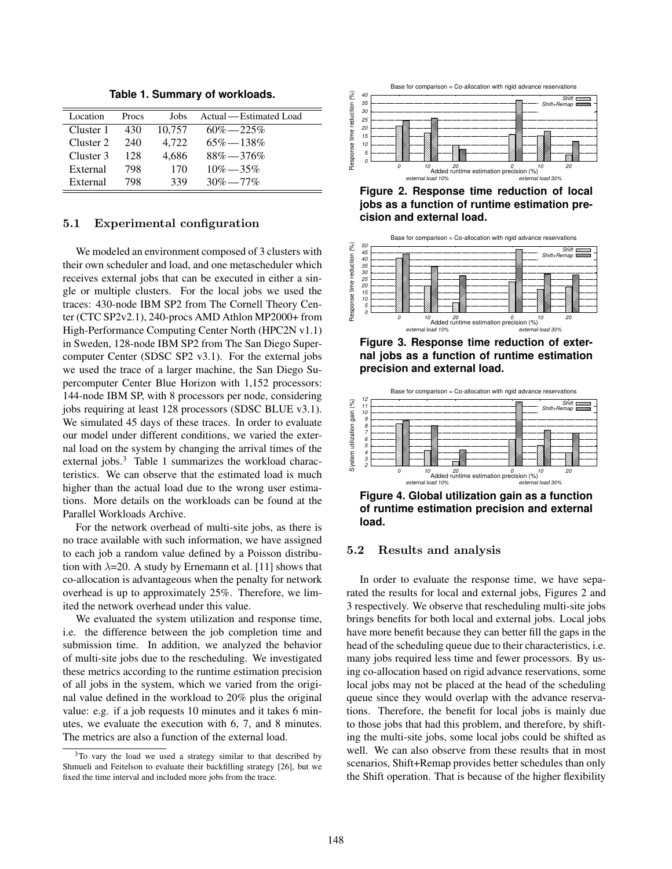**Table 1. Summary of workloads.**

| Location  | Procs | Jobs   | Actual — Estimated Load |
|-----------|-------|--------|-------------------------|
| Cluster 1 | 430   | 10.757 | $60\% - 225\%$          |
| Cluster 2 | 240   | 4.722  | $65\% - 138\%$          |
| Cluster 3 | 128   | 4,686  | $88\% - 376\%$          |
| External  | 798   | 170    | $10\% - 35\%$           |
| External  | 798   | 339    | $30\% - 77\%$           |

## 5.1 Experimental configuration

We modeled an environment composed of 3 clusters with their own scheduler and load, and one metascheduler which receives external jobs that can be executed in either a single or multiple clusters. For the local jobs we used the traces: 430-node IBM SP2 from The Cornell Theory Center (CTC SP2v2.1), 240-procs AMD Athlon MP2000+ from High-Performance Computing Center North (HPC2N v1.1) in Sweden, 128-node IBM SP2 from The San Diego Supercomputer Center (SDSC SP2 v3.1). For the external jobs we used the trace of a larger machine, the San Diego Supercomputer Center Blue Horizon with 1,152 processors: 144-node IBM SP, with 8 processors per node, considering jobs requiring at least 128 processors (SDSC BLUE v3.1). We simulated 45 days of these traces. In order to evaluate our model under different conditions, we varied the external load on the system by changing the arrival times of the external jobs. $3$  Table 1 summarizes the workload characteristics. We can observe that the estimated load is much higher than the actual load due to the wrong user estimations. More details on the workloads can be found at the Parallel Workloads Archive.

For the network overhead of multi-site jobs, as there is no trace available with such information, we have assigned to each job a random value defined by a Poisson distribution with  $\lambda$ =20. A study by Ernemann et al. [11] shows that co-allocation is advantageous when the penalty for network overhead is up to approximately 25%. Therefore, we limited the network overhead under this value.

We evaluated the system utilization and response time, i.e. the difference between the job completion time and submission time. In addition, we analyzed the behavior of multi-site jobs due to the rescheduling. We investigated these metrics according to the runtime estimation precision of all jobs in the system, which we varied from the original value defined in the workload to 20% plus the original value: e.g. if a job requests 10 minutes and it takes 6 minutes, we evaluate the execution with 6, 7, and 8 minutes. The metrics are also a function of the external load.



**Figure 2. Response time reduction of local jobs as a function of runtime estimation precision and external load.**



**Figure 3. Response time reduction of external jobs as a function of runtime estimation precision and external load.**



**Figure 4. Global utilization gain as a function of runtime estimation precision and external load.**

#### 5.2 Results and analysis

In order to evaluate the response time, we have separated the results for local and external jobs, Figures 2 and 3 respectively. We observe that rescheduling multi-site jobs brings benefits for both local and external jobs. Local jobs have more benefit because they can better fill the gaps in the head of the scheduling queue due to their characteristics, i.e. many jobs required less time and fewer processors. By using co-allocation based on rigid advance reservations, some local jobs may not be placed at the head of the scheduling queue since they would overlap with the advance reservations. Therefore, the benefit for local jobs is mainly due to those jobs that had this problem, and therefore, by shifting the multi-site jobs, some local jobs could be shifted as well. We can also observe from these results that in most scenarios, Shift+Remap provides better schedules than only the Shift operation. That is because of the higher flexibility

<sup>&</sup>lt;sup>3</sup>To vary the load we used a strategy similar to that described by Shmueli and Feitelson to evaluate their backfilling strategy [26], but we fixed the time interval and included more jobs from the trace.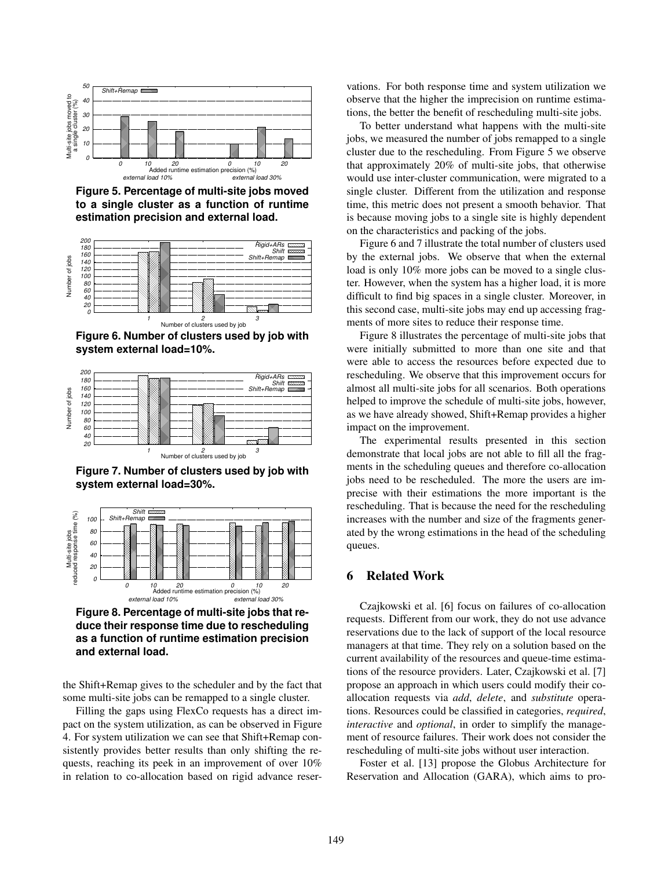

**Figure 5. Percentage of multi-site jobs moved to a single cluster as a function of runtime estimation precision and external load.**



**Figure 6. Number of clusters used by job with system external load=10%.**



**Figure 7. Number of clusters used by job with system external load=30%.**



**Figure 8. Percentage of multi-site jobs that reduce their response time due to rescheduling as a function of runtime estimation precision and external load.**

the Shift+Remap gives to the scheduler and by the fact that some multi-site jobs can be remapped to a single cluster.

Filling the gaps using FlexCo requests has a direct impact on the system utilization, as can be observed in Figure 4. For system utilization we can see that Shift+Remap consistently provides better results than only shifting the requests, reaching its peek in an improvement of over 10% in relation to co-allocation based on rigid advance reservations. For both response time and system utilization we observe that the higher the imprecision on runtime estimations, the better the benefit of rescheduling multi-site jobs.

To better understand what happens with the multi-site jobs, we measured the number of jobs remapped to a single cluster due to the rescheduling. From Figure 5 we observe that approximately 20% of multi-site jobs, that otherwise would use inter-cluster communication, were migrated to a single cluster. Different from the utilization and response time, this metric does not present a smooth behavior. That is because moving jobs to a single site is highly dependent on the characteristics and packing of the jobs.

Figure 6 and 7 illustrate the total number of clusters used by the external jobs. We observe that when the external load is only 10% more jobs can be moved to a single cluster. However, when the system has a higher load, it is more difficult to find big spaces in a single cluster. Moreover, in this second case, multi-site jobs may end up accessing fragments of more sites to reduce their response time.

Figure 8 illustrates the percentage of multi-site jobs that were initially submitted to more than one site and that were able to access the resources before expected due to rescheduling. We observe that this improvement occurs for almost all multi-site jobs for all scenarios. Both operations helped to improve the schedule of multi-site jobs, however, as we have already showed, Shift+Remap provides a higher impact on the improvement.

The experimental results presented in this section demonstrate that local jobs are not able to fill all the fragments in the scheduling queues and therefore co-allocation jobs need to be rescheduled. The more the users are imprecise with their estimations the more important is the rescheduling. That is because the need for the rescheduling increases with the number and size of the fragments generated by the wrong estimations in the head of the scheduling queues.

## **6 Related Work**

Czajkowski et al. [6] focus on failures of co-allocation requests. Different from our work, they do not use advance reservations due to the lack of support of the local resource managers at that time. They rely on a solution based on the current availability of the resources and queue-time estimations of the resource providers. Later, Czajkowski et al. [7] propose an approach in which users could modify their coallocation requests via *add*, *delete*, and *substitute* operations. Resources could be classified in categories, *required*, *interactive* and *optional*, in order to simplify the management of resource failures. Their work does not consider the rescheduling of multi-site jobs without user interaction.

Foster et al. [13] propose the Globus Architecture for Reservation and Allocation (GARA), which aims to pro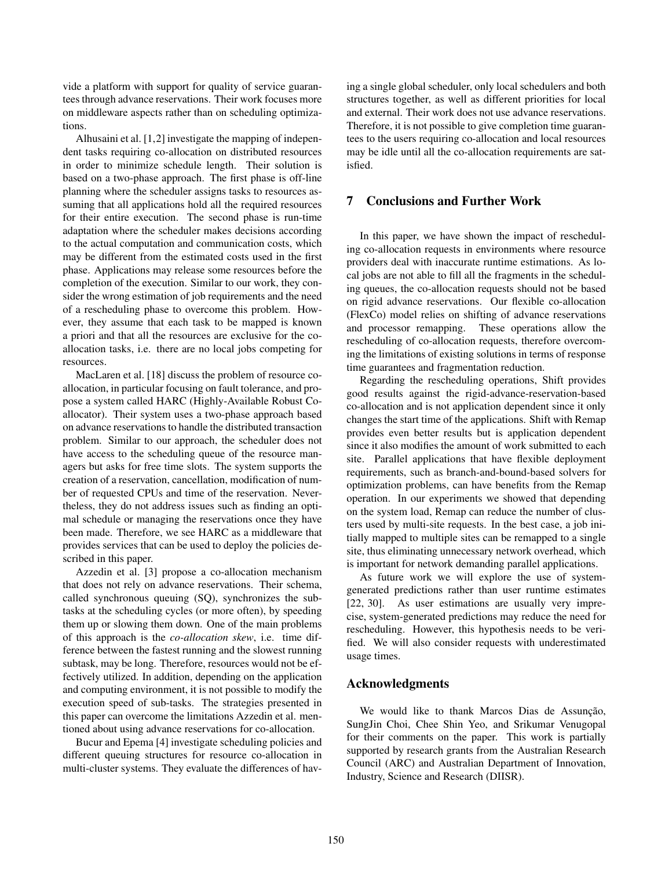vide a platform with support for quality of service guarantees through advance reservations. Their work focuses more on middleware aspects rather than on scheduling optimizations.

Alhusaini et al. [1,2] investigate the mapping of independent tasks requiring co-allocation on distributed resources in order to minimize schedule length. Their solution is based on a two-phase approach. The first phase is off-line planning where the scheduler assigns tasks to resources assuming that all applications hold all the required resources for their entire execution. The second phase is run-time adaptation where the scheduler makes decisions according to the actual computation and communication costs, which may be different from the estimated costs used in the first phase. Applications may release some resources before the completion of the execution. Similar to our work, they consider the wrong estimation of job requirements and the need of a rescheduling phase to overcome this problem. However, they assume that each task to be mapped is known a priori and that all the resources are exclusive for the coallocation tasks, i.e. there are no local jobs competing for resources.

MacLaren et al. [18] discuss the problem of resource coallocation, in particular focusing on fault tolerance, and propose a system called HARC (Highly-Available Robust Coallocator). Their system uses a two-phase approach based on advance reservations to handle the distributed transaction problem. Similar to our approach, the scheduler does not have access to the scheduling queue of the resource managers but asks for free time slots. The system supports the creation of a reservation, cancellation, modification of number of requested CPUs and time of the reservation. Nevertheless, they do not address issues such as finding an optimal schedule or managing the reservations once they have been made. Therefore, we see HARC as a middleware that provides services that can be used to deploy the policies described in this paper.

Azzedin et al. [3] propose a co-allocation mechanism that does not rely on advance reservations. Their schema, called synchronous queuing (SQ), synchronizes the subtasks at the scheduling cycles (or more often), by speeding them up or slowing them down. One of the main problems of this approach is the *co-allocation skew*, i.e. time difference between the fastest running and the slowest running subtask, may be long. Therefore, resources would not be effectively utilized. In addition, depending on the application and computing environment, it is not possible to modify the execution speed of sub-tasks. The strategies presented in this paper can overcome the limitations Azzedin et al. mentioned about using advance reservations for co-allocation.

Bucur and Epema [4] investigate scheduling policies and different queuing structures for resource co-allocation in multi-cluster systems. They evaluate the differences of having a single global scheduler, only local schedulers and both structures together, as well as different priorities for local and external. Their work does not use advance reservations. Therefore, it is not possible to give completion time guarantees to the users requiring co-allocation and local resources may be idle until all the co-allocation requirements are satisfied.

#### **7 Conclusions and Further Work**

In this paper, we have shown the impact of rescheduling co-allocation requests in environments where resource providers deal with inaccurate runtime estimations. As local jobs are not able to fill all the fragments in the scheduling queues, the co-allocation requests should not be based on rigid advance reservations. Our flexible co-allocation (FlexCo) model relies on shifting of advance reservations and processor remapping. These operations allow the rescheduling of co-allocation requests, therefore overcoming the limitations of existing solutions in terms of response time guarantees and fragmentation reduction.

Regarding the rescheduling operations, Shift provides good results against the rigid-advance-reservation-based co-allocation and is not application dependent since it only changes the start time of the applications. Shift with Remap provides even better results but is application dependent since it also modifies the amount of work submitted to each site. Parallel applications that have flexible deployment requirements, such as branch-and-bound-based solvers for optimization problems, can have benefits from the Remap operation. In our experiments we showed that depending on the system load, Remap can reduce the number of clusters used by multi-site requests. In the best case, a job initially mapped to multiple sites can be remapped to a single site, thus eliminating unnecessary network overhead, which is important for network demanding parallel applications.

As future work we will explore the use of systemgenerated predictions rather than user runtime estimates [22, 30]. As user estimations are usually very imprecise, system-generated predictions may reduce the need for rescheduling. However, this hypothesis needs to be verified. We will also consider requests with underestimated usage times.

## **Acknowledgments**

We would like to thank Marcos Dias de Assunção, SungJin Choi, Chee Shin Yeo, and Srikumar Venugopal for their comments on the paper. This work is partially supported by research grants from the Australian Research Council (ARC) and Australian Department of Innovation, Industry, Science and Research (DIISR).